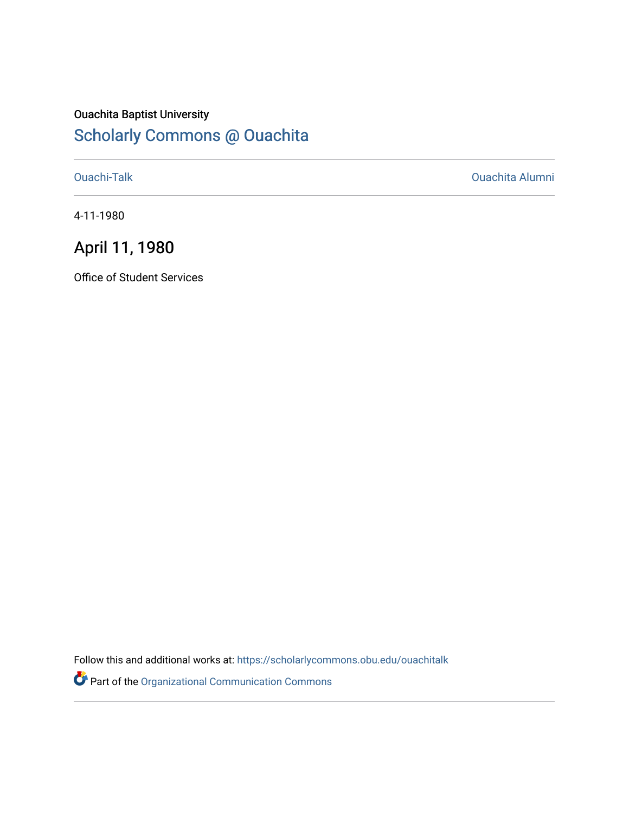## Ouachita Baptist University [Scholarly Commons @ Ouachita](https://scholarlycommons.obu.edu/)

[Ouachi-Talk](https://scholarlycommons.obu.edu/ouachitalk) [Ouachita Alumni](https://scholarlycommons.obu.edu/obu_alum) 

4-11-1980

# April 11, 1980

Office of Student Services

Follow this and additional works at: [https://scholarlycommons.obu.edu/ouachitalk](https://scholarlycommons.obu.edu/ouachitalk?utm_source=scholarlycommons.obu.edu%2Fouachitalk%2F104&utm_medium=PDF&utm_campaign=PDFCoverPages) 

Part of the [Organizational Communication Commons](http://network.bepress.com/hgg/discipline/335?utm_source=scholarlycommons.obu.edu%2Fouachitalk%2F104&utm_medium=PDF&utm_campaign=PDFCoverPages)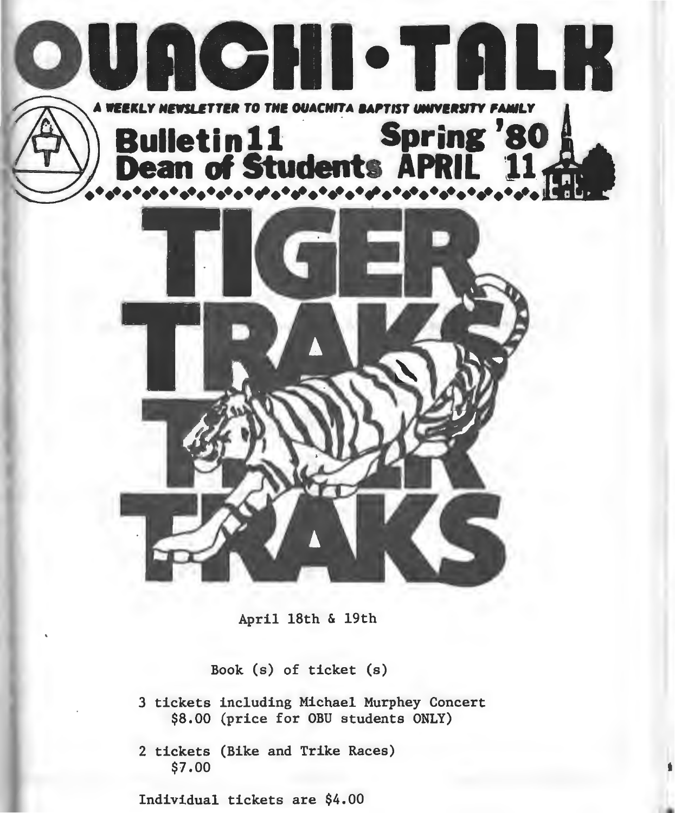

April 18th & 19th

Book (s) of ticket (s)

3 tickets including Michael Murphey Concert \$8.00 (price for OBU students ONLY)

2 tickets (Bike and Trike Races) \$7.00

Individual tickets are \$4.00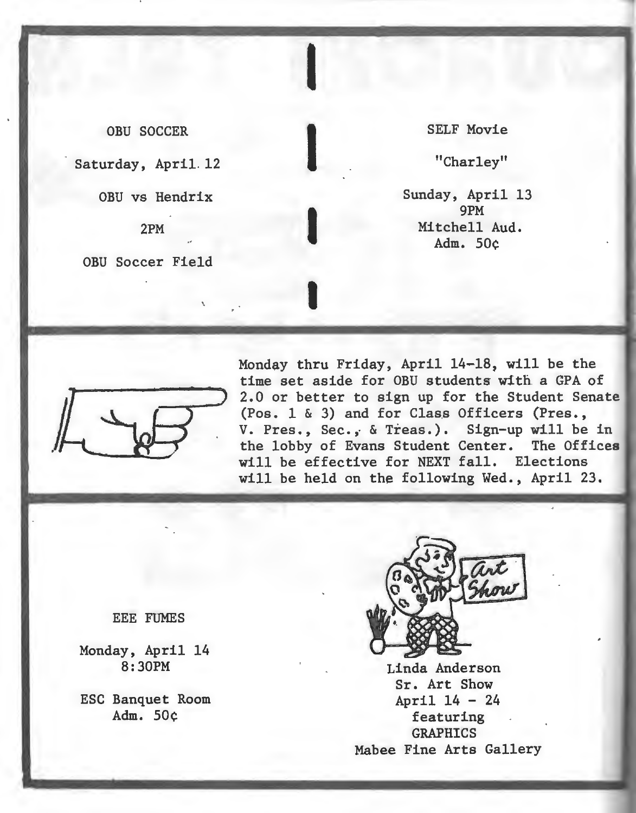OBU SOCCER

I

Saturday, April. 12

OBU vs Hendrix

2PM ..

OBU Soccer Field

'

SELF Movie

I

I

I

I

"Charley"

Sunday, April 13 9PM Mitchell Aud. Adm. 50¢



Monday thru Friday, April 14-18, will be the time set aside for OBU students with a GPA of 2.0 or better to sign up for the Student Senate (Pos. 1 & 3) and for Class Officers (Pres., V. Pres., Sec., & Treas.). Sign-up will be in the lobby of Evans Student Center. The Offices will be effective for NEXT fall. Elections will be held on the following Wed., April 23.

#### EEE FUMES

Monday, April 14 8:30PM

ESC Banquet Room Adm. 50¢



Linda Anderson Sr. Art Show April 14 - 24 featuring GRAPHICS Mabee Fine Arts Gallery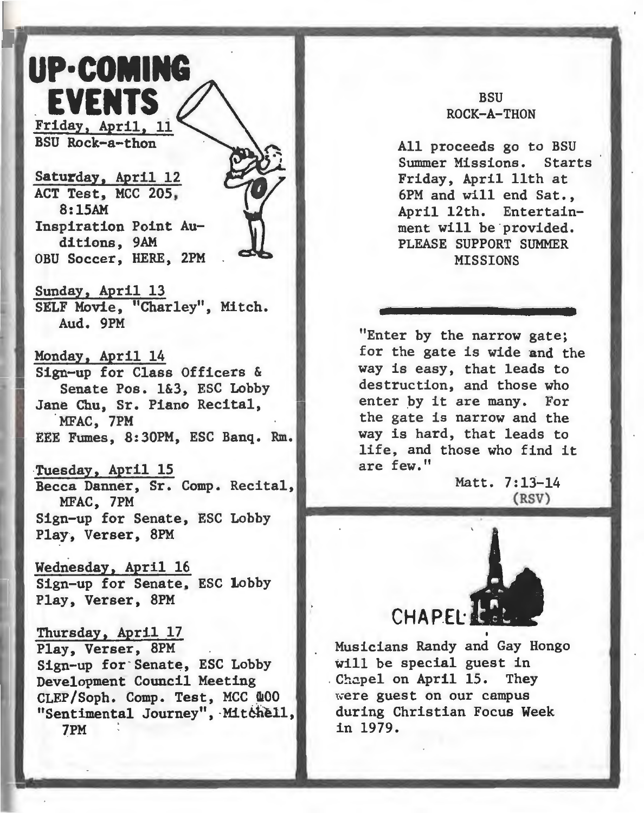

Saturday, April 12 ACT Test, MCC 205, 8:15AM Inspiration Point Auditions. 9AM OBU Soccer, HERE, 2PM

Sunday, April 13 SELF Movie, "Charley", Mitch. Aud. 9PM

Monday, April 14 Sign-up for Class Officers & Senate Pos. 1&3, ESC Lobby Jane Chu, Sr. Piano Recital, MFAC, 7PM EEE Fumes, 8:30PM, ESC Banq. Rm.

·Tuesday, April 15 Becca Danner, Sr. Comp. Recital, MFAC, 7PM Sign-up for Senate, ESC Lobby Play, Verser, 8PM

Wednesday, April 16 Sign-up for Senate, ESC lobby Play, Verser, 8PM

Thursday, April 17 Play, Verser, 8PM Sign-up for Senate, ESC Lobby Development Council Meeting CLEP/Soph. Comp. Test, MCC 400 "Sentimental Journey", ·Mitbbell, 7PM .

### **BSII** ROCK-A-THON

All proceeds go to BSU Summer Missions. Starts Friday, April 11th at 6PM and will end Sat., April 12th. Entertainment will be provided. PLEASE SUPPORT SUMMER **MISSIONS** 

"Enter by the narrow gate; for the gate is wide and the way is easy, that leads to destruction, and those who enter by it are many. For the gate is narrow and the way is hard, that leads to life, and those who find it are few."

> Matt. 7:13-14 (RSV)



Musicians Randy and Gay Hongo will be special guest in Chapel on April 15. They were guest on our campus during Christian Focus Week in 1979.